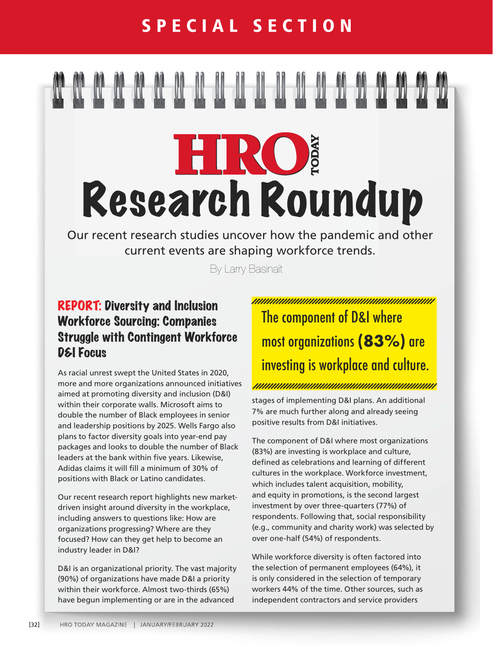# HRO Research Roundup

Our recent research studies uncover how the pandemic and other current events are shaping workforce trends.

By Larry Basinait

## REPORT: Diversity and Inclusion Workforce Sourcing: Companies Struggle with Contingent Workforce D&I Focus

As racial unrest swept the United States in 2020, more and more organizations announced initiatives aimed at promoting diversity and inclusion (D&I) within their corporate walls. Microsoft aims to double the number of Black employees in senior and leadership positions by 2025. Wells Fargo also plans to factor diversity goals into year-end pay packages and looks to double the number of Black leaders at the bank within five years. Likewise, Adidas claims it will fill a minimum of 30% of positions with Black or Latino candidates.

Our recent research report highlights new marketdriven insight around diversity in the workplace, including answers to questions like: How are organizations progressing? Where are they focused? How can they get help to become an industry leader in D&I?

D&I is an organizational priority. The vast majority (90%) of organizations have made D&I a priority within their workforce. Almost two-thirds (65%) have begun implementing or are in the advanced

<u>INIMUNIMUNIMUNIMUNIMUNIMUNIMUNIMU</u> The component of D&I where most organizations **(83%)** are investing is workplace and culture.

stages of implementing D&I plans. An additional 7% are much further along and already seeing positive results from D&I initiatives.

The component of D&I where most organizations (83%) are investing is workplace and culture, defined as celebrations and learning of different cultures in the workplace. Workforce investment, which includes talent acquisition, mobility, and equity in promotions, is the second largest investment by over three-quarters (77%) of respondents. Following that, social responsibility (e.g., community and charity work) was selected by over one-half (54%) of respondents.

While workforce diversity is often factored into the selection of permanent employees (64%), it is only considered in the selection of temporary workers 44% of the time. Other sources, such as independent contractors and service providers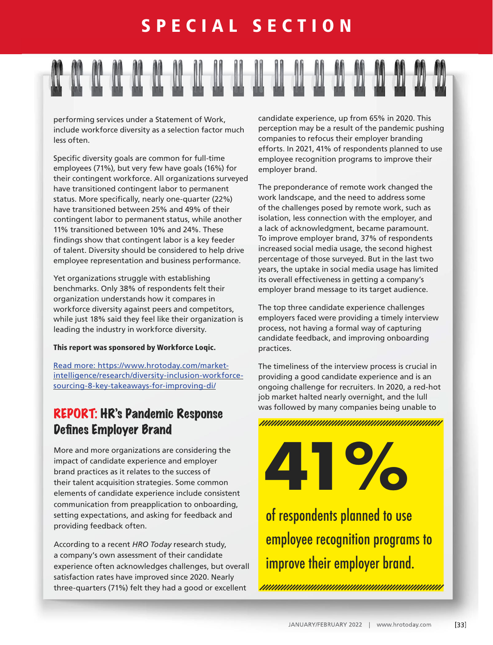

performing services under a Statement of Work, include workforce diversity as a selection factor much less often.

Specific diversity goals are common for full-time employees (71%), but very few have goals (16%) for their contingent workforce. All organizations surveyed have transitioned contingent labor to permanent status. More specifically, nearly one-quarter (22%) have transitioned between 25% and 49% of their contingent labor to permanent status, while another 11% transitioned between 10% and 24%. These findings show that contingent labor is a key feeder of talent. Diversity should be considered to help drive employee representation and business performance.

Yet organizations struggle with establishing benchmarks. Only 38% of respondents felt their organization understands how it compares in workforce diversity against peers and competitors, while just 18% said they feel like their organization is leading the industry in workforce diversity.

#### This report was sponsored by Workforce Loqic.

[Read more: https://www.hrotoday.com/market](https://www.hrotoday.com/market-intelligence/research/diversity-inclusion-workforce-sourcing-8-key-takeaways-for-improving-di/
)[intelligence/research/diversity-inclusion-workforce](https://www.hrotoday.com/market-intelligence/research/diversity-inclusion-workforce-sourcing-8-key-takeaways-for-improving-di/
)[sourcing-8-key-takeaways-for-improving-di/](https://www.hrotoday.com/market-intelligence/research/diversity-inclusion-workforce-sourcing-8-key-takeaways-for-improving-di/
)

## REPORT: HR's Pandemic Response Defines Employer Brand

More and more organizations are considering the impact of candidate experience and employer brand practices as it relates to the success of their talent acquisition strategies. Some common elements of candidate experience include consistent communication from preapplication to onboarding, setting expectations, and asking for feedback and providing feedback often.

According to a recent *HRO Today* research study, a company's own assessment of their candidate experience often acknowledges challenges, but overall satisfaction rates have improved since 2020. Nearly three-quarters (71%) felt they had a good or excellent

candidate experience, up from 65% in 2020. This perception may be a result of the pandemic pushing companies to refocus their employer branding efforts. In 2021, 41% of respondents planned to use employee recognition programs to improve their employer brand.

The preponderance of remote work changed the work landscape, and the need to address some of the challenges posed by remote work, such as isolation, less connection with the employer, and a lack of acknowledgment, became paramount. To improve employer brand, 37% of respondents increased social media usage, the second highest percentage of those surveyed. But in the last two years, the uptake in social media usage has limited its overall effectiveness in getting a company's employer brand message to its target audience.

The top three candidate experience challenges employers faced were providing a timely interview process, not having a formal way of capturing candidate feedback, and improving onboarding practices.

The timeliness of the interview process is crucial in providing a good candidate experience and is an ongoing challenge for recruiters. In 2020, a red-hot job market halted nearly overnight, and the lull was followed by many companies being unable to

## **41 | 1980 | 1980 | 1980 | 1980 | 1980 | 1980 | 1980 | 1980 | 1980 | 1980 | 1980 | 1980 | 1980 | 1980 | 1980 |**<br>1980 | 1980 | 1980 | 1980 | 1980 | 1980 | 1980 | 1980 | 1980 | 1980 | 1980 | 1980 | 1980 | 1980 | 1980 | 1980

of respondents planned to use employee recognition programs to improve their employer brand.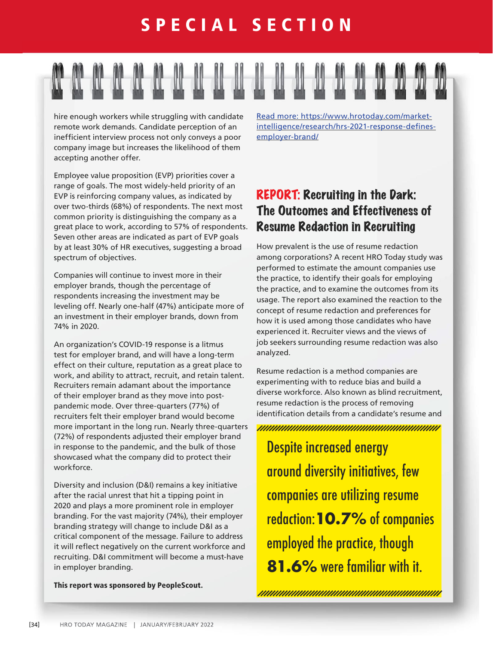hire enough workers while struggling with candidate remote work demands. Candidate perception of an inefficient interview process not only conveys a poor company image but increases the likelihood of them accepting another offer.

[Read more: https://www.hrotoday.com/market](https://www.hrotoday.com/market-intelligence/research/hrs-2021-response-defines-employer-brand/)[intelligence/research/hrs-2021-response-defines](https://www.hrotoday.com/market-intelligence/research/hrs-2021-response-defines-employer-brand/)[employer-brand/](https://www.hrotoday.com/market-intelligence/research/hrs-2021-response-defines-employer-brand/)

Employee value proposition (EVP) priorities cover a range of goals. The most widely-held priority of an EVP is reinforcing company values, as indicated by over two-thirds (68%) of respondents. The next most common priority is distinguishing the company as a great place to work, according to 57% of respondents. Seven other areas are indicated as part of EVP goals by at least 30% of HR executives, suggesting a broad spectrum of objectives.

Companies will continue to invest more in their employer brands, though the percentage of respondents increasing the investment may be leveling off. Nearly one-half (47%) anticipate more of an investment in their employer brands, down from 74% in 2020.

An organization's COVID-19 response is a litmus test for employer brand, and will have a long-term effect on their culture, reputation as a great place to work, and ability to attract, recruit, and retain talent. Recruiters remain adamant about the importance of their employer brand as they move into postpandemic mode. Over three-quarters (77%) of recruiters felt their employer brand would become more important in the long run. Nearly three-quarters (72%) of respondents adjusted their employer brand in response to the pandemic, and the bulk of those showcased what the company did to protect their workforce.

Diversity and inclusion (D&I) remains a key initiative after the racial unrest that hit a tipping point in 2020 and plays a more prominent role in employer branding. For the vast majority (74%), their employer branding strategy will change to include D&I as a critical component of the message. Failure to address it will reflect negatively on the current workforce and recruiting. D&I commitment will become a must-have in employer branding.

This report was sponsored by PeopleScout.

## REPORT: Recruiting in the Dark: The Outcomes and Effectiveness of Resume Redaction in Recruiting

How prevalent is the use of resume redaction among corporations? A recent HRO Today study was performed to estimate the amount companies use the practice, to identify their goals for employing the practice, and to examine the outcomes from its usage. The report also examined the reaction to the concept of resume redaction and preferences for how it is used among those candidates who have experienced it. Recruiter views and the views of job seekers surrounding resume redaction was also analyzed.

Resume redaction is a method companies are experimenting with to reduce bias and build a diverse workforce. Also known as blind recruitment, resume redaction is the process of removing identification details from a candidate's resume and

Despite increased energy around diversity initiatives, few companies are utilizing resume redaction:**10.7%** of companies employed the practice, though **81.6%** were familiar with it.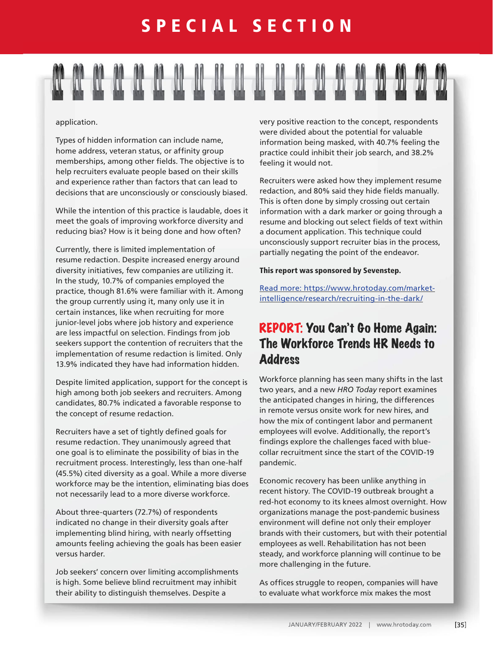#### application.

Types of hidden information can include name, home address, veteran status, or affinity group memberships, among other fields. The objective is to help recruiters evaluate people based on their skills and experience rather than factors that can lead to decisions that are unconsciously or consciously biased.

While the intention of this practice is laudable, does it meet the goals of improving workforce diversity and reducing bias? How is it being done and how often?

Currently, there is limited implementation of resume redaction. Despite increased energy around diversity initiatives, few companies are utilizing it. In the study, 10.7% of companies employed the practice, though 81.6% were familiar with it. Among the group currently using it, many only use it in certain instances, like when recruiting for more junior-level jobs where job history and experience are less impactful on selection. Findings from job seekers support the contention of recruiters that the implementation of resume redaction is limited. Only 13.9% indicated they have had information hidden.

Despite limited application, support for the concept is high among both job seekers and recruiters. Among candidates, 80.7% indicated a favorable response to the concept of resume redaction.

Recruiters have a set of tightly defined goals for resume redaction. They unanimously agreed that one goal is to eliminate the possibility of bias in the recruitment process. Interestingly, less than one-half (45.5%) cited diversity as a goal. While a more diverse workforce may be the intention, eliminating bias does not necessarily lead to a more diverse workforce.

About three-quarters (72.7%) of respondents indicated no change in their diversity goals after implementing blind hiring, with nearly offsetting amounts feeling achieving the goals has been easier versus harder.

Job seekers' concern over limiting accomplishments is high. Some believe blind recruitment may inhibit their ability to distinguish themselves. Despite a

very positive reaction to the concept, respondents were divided about the potential for valuable information being masked, with 40.7% feeling the practice could inhibit their job search, and 38.2% feeling it would not.

Recruiters were asked how they implement resume redaction, and 80% said they hide fields manually. This is often done by simply crossing out certain information with a dark marker or going through a resume and blocking out select fields of text within a document application. This technique could unconsciously support recruiter bias in the process, partially negating the point of the endeavor.

#### This report was sponsored by Sevenstep.

[Read more: https://www.hrotoday.com/market](https://www.hrotoday.com/market-intelligence/research/recruiting-in-the-dark/
)[intelligence/research/recruiting-in-the-dark/](https://www.hrotoday.com/market-intelligence/research/recruiting-in-the-dark/
)

#### REPORT: You Can't Go Home Again: The Workforce Trends HR Needs to **Address**

Workforce planning has seen many shifts in the last two years, and a new *HRO Today* report examines the anticipated changes in hiring, the differences in remote versus onsite work for new hires, and how the mix of contingent labor and permanent employees will evolve. Additionally, the report's findings explore the challenges faced with bluecollar recruitment since the start of the COVID-19 pandemic.

Economic recovery has been unlike anything in recent history. The COVID-19 outbreak brought a red-hot economy to its knees almost overnight. How organizations manage the post-pandemic business environment will define not only their employer brands with their customers, but with their potential employees as well. Rehabilitation has not been steady, and workforce planning will continue to be more challenging in the future.

As offices struggle to reopen, companies will have to evaluate what workforce mix makes the most